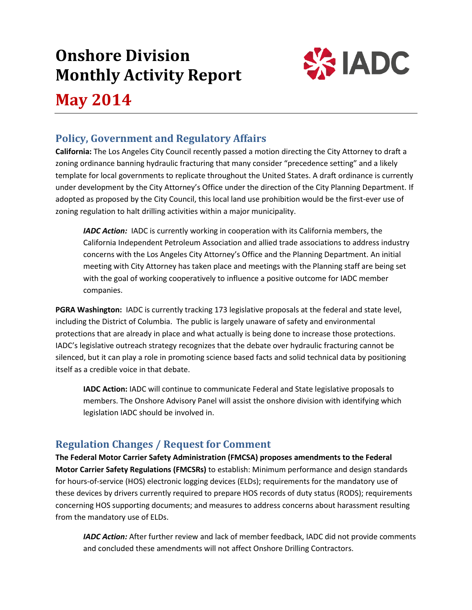# **Onshore Division Monthly Activity Report**



**May 2014**

# **Policy, Government and Regulatory Affairs**

**California:** The Los Angeles City Council recently passed a motion directing the City Attorney to draft a zoning ordinance banning hydraulic fracturing that many consider "precedence setting" and a likely template for local governments to replicate throughout the United States. A draft ordinance is currently under development by the City Attorney's Office under the direction of the City Planning Department. If adopted as proposed by the City Council, this local land use prohibition would be the first-ever use of zoning regulation to halt drilling activities within a major municipality.

*IADC Action:* IADC is currently working in cooperation with its California members, the California Independent Petroleum Association and allied trade associations to address industry concerns with the Los Angeles City Attorney's Office and the Planning Department. An initial meeting with City Attorney has taken place and meetings with the Planning staff are being set with the goal of working cooperatively to influence a positive outcome for IADC member companies.

**PGRA Washington:** IADC is currently tracking 173 legislative proposals at the federal and state level, including the District of Columbia. The public is largely unaware of safety and environmental protections that are already in place and what actually is being done to increase those protections. IADC's legislative outreach strategy recognizes that the debate over hydraulic fracturing cannot be silenced, but it can play a role in promoting science based facts and solid technical data by positioning itself as a credible voice in that debate.

**IADC Action:** IADC will continue to communicate Federal and State legislative proposals to members. The Onshore Advisory Panel will assist the onshore division with identifying which legislation IADC should be involved in.

# **Regulation Changes / Request for Comment**

**The Federal Motor Carrier Safety Administration (FMCSA) proposes amendments to the Federal Motor Carrier Safety Regulations (FMCSRs)** to establish: Minimum performance and design standards for hours-of-service (HOS) electronic logging devices (ELDs); requirements for the mandatory use of these devices by drivers currently required to prepare HOS records of duty status (RODS); requirements concerning HOS supporting documents; and measures to address concerns about harassment resulting from the mandatory use of ELDs.

*IADC Action:* After further review and lack of member feedback, IADC did not provide comments and concluded these amendments will not affect Onshore Drilling Contractors.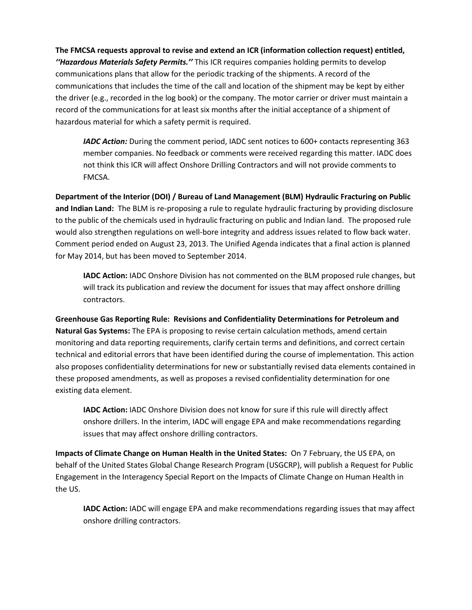**The FMCSA requests approval to revise and extend an ICR (information collection request) entitled,**  *''Hazardous Materials Safety Permits.''* This ICR requires companies holding permits to develop communications plans that allow for the periodic tracking of the shipments. A record of the communications that includes the time of the call and location of the shipment may be kept by either the driver (e.g., recorded in the log book) or the company. The motor carrier or driver must maintain a record of the communications for at least six months after the initial acceptance of a shipment of hazardous material for which a safety permit is required.

*IADC Action:* During the comment period, IADC sent notices to 600+ contacts representing 363 member companies. No feedback or comments were received regarding this matter. IADC does not think this ICR will affect Onshore Drilling Contractors and will not provide comments to FMCSA.

**Department of the Interior (DOI) / Bureau of Land Management (BLM) Hydraulic Fracturing on Public and Indian Land:** The BLM is re-proposing a rule to regulate hydraulic fracturing by providing disclosure to the public of the chemicals used in hydraulic fracturing on public and Indian land. The proposed rule would also strengthen regulations on well-bore integrity and address issues related to flow back water. Comment period ended on August 23, 2013. The Unified Agenda indicates that a final action is planned for May 2014, but has been moved to September 2014.

**IADC Action:** IADC Onshore Division has not commented on the BLM proposed rule changes, but will track its publication and review the document for issues that may affect onshore drilling contractors.

**Greenhouse Gas Reporting Rule: Revisions and Confidentiality Determinations for Petroleum and Natural Gas Systems:** The EPA is proposing to revise certain calculation methods, amend certain monitoring and data reporting requirements, clarify certain terms and definitions, and correct certain technical and editorial errors that have been identified during the course of implementation. This action also proposes confidentiality determinations for new or substantially revised data elements contained in these proposed amendments, as well as proposes a revised confidentiality determination for one existing data element.

**IADC Action:** IADC Onshore Division does not know for sure if this rule will directly affect onshore drillers. In the interim, IADC will engage EPA and make recommendations regarding issues that may affect onshore drilling contractors.

**Impacts of Climate Change on Human Health in the United States:** On 7 February, the US EPA, on behalf of the United States Global Change Research Program (USGCRP), will publish a Request for Public Engagement in the Interagency Special Report on the Impacts of Climate Change on Human Health in the US.

**IADC Action:** IADC will engage EPA and make recommendations regarding issues that may affect onshore drilling contractors.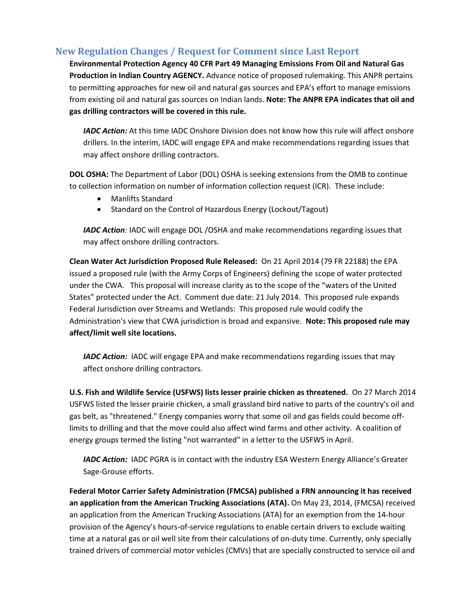#### **New Regulation Changes / Request for Comment since Last Report**

**Environmental Protection Agency 40 CFR Part 49 Managing Emissions From Oil and Natural Gas Production in Indian Country AGENCY.** Advance notice of proposed rulemaking. This ANPR pertains to permitting approaches for new oil and natural gas sources and EPA's effort to manage emissions from existing oil and natural gas sources on Indian lands. **Note: The ANPR EPA indicates that oil and gas drilling contractors will be covered in this rule.** 

*IADC Action:* At this time IADC Onshore Division does not know how this rule will affect onshore drillers. In the interim, IADC will engage EPA and make recommendations regarding issues that may affect onshore drilling contractors.

**DOL OSHA:** The Department of Labor (DOL) OSHA is seeking extensions from the OMB to continue to collection information on number of information collection request (ICR). These include:

- Manlifts Standard
- Standard on the Control of Hazardous Energy (Lockout/Tagout)

*IADC Action:* IADC will engage DOL /OSHA and make recommendations regarding issues that may affect onshore drilling contractors.

**Clean Water Act Jurisdiction Proposed Rule Released:** On 21 April 2014 (79 FR 22188) the EPA issued a proposed rule (with the Army Corps of Engineers) defining the scope of water protected under the CWA. This proposal will increase clarity as to the scope of the "waters of the United States" protected under the Act. Comment due date: 21 July 2014. This proposed rule expands Federal Jurisdiction over Streams and Wetlands: This proposed rule would codify the Administration's view that CWA jurisdiction is broad and expansive. **Note: This proposed rule may affect/limit well site locations.** 

*IADC Action:* IADC will engage EPA and make recommendations regarding issues that may affect onshore drilling contractors.

**U.S. Fish and Wildlife Service (USFWS) lists lesser prairie chicken as threatened.** On 27 March 2014 USFWS listed the lesser prairie chicken, a small grassland bird native to parts of the country's oil and gas belt, as "threatened." Energy companies worry that some oil and gas fields could become offlimits to drilling and that the move could also affect wind farms and other activity. A coalition of energy groups termed the listing "not warranted" in a letter to the USFWS in April.

*IADC Action:* IADC PGRA is in contact with the industry ESA Western Energy Alliance's Greater Sage-Grouse efforts.

**Federal Motor Carrier Safety Administration (FMCSA) published a FRN announcing it has received an application from the American Trucking Associations (ATA).** On May 23, 2014, (FMCSA) received an application from the American Trucking Associations (ATA) for an exemption from the 14-hour provision of the Agency's hours-of-service regulations to enable certain drivers to exclude waiting time at a natural gas or oil well site from their calculations of on-duty time. Currently, only specially trained drivers of commercial motor vehicles (CMVs) that are specially constructed to service oil and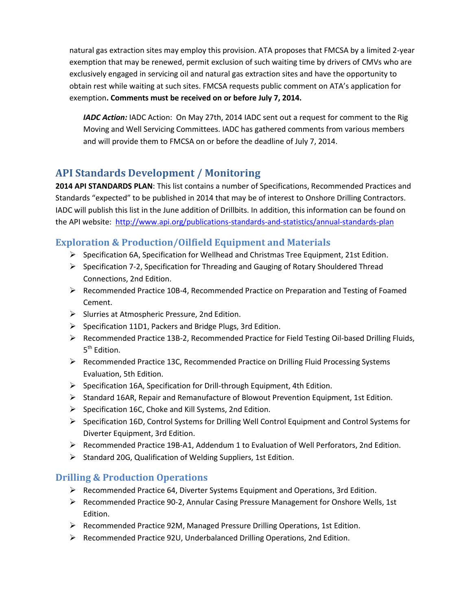natural gas extraction sites may employ this provision. ATA proposes that FMCSA by a limited 2-year exemption that may be renewed, permit exclusion of such waiting time by drivers of CMVs who are exclusively engaged in servicing oil and natural gas extraction sites and have the opportunity to obtain rest while waiting at such sites. FMCSA requests public comment on ATA's application for exemption**. Comments must be received on or before July 7, 2014.**

*IADC Action:* IADC Action: On May 27th, 2014 IADC sent out a request for comment to the Rig Moving and Well Servicing Committees. IADC has gathered comments from various members and will provide them to FMCSA on or before the deadline of July 7, 2014.

# **API Standards Development / Monitoring**

**2014 API STANDARDS PLAN**: This list contains a number of Specifications, Recommended Practices and Standards "expected" to be published in 2014 that may be of interest to Onshore Drilling Contractors. IADC will publish this list in the June addition of Drillbits. In addition, this information can be found on the API website: <http://www.api.org/publications-standards-and-statistics/annual-standards-plan>

### **Exploration & Production/Oilfield Equipment and Materials**

- $\triangleright$  Specification 6A, Specification for Wellhead and Christmas Tree Equipment, 21st Edition.
- $\triangleright$  Specification 7-2, Specification for Threading and Gauging of Rotary Shouldered Thread Connections, 2nd Edition.
- $\triangleright$  Recommended Practice 10B-4, Recommended Practice on Preparation and Testing of Foamed Cement.
- $\triangleright$  Slurries at Atmospheric Pressure, 2nd Edition.
- $\triangleright$  Specification 11D1, Packers and Bridge Plugs, 3rd Edition.
- Recommended Practice 13B-2, Recommended Practice for Field Testing Oil-based Drilling Fluids, 5<sup>th</sup> Edition.
- $\triangleright$  Recommended Practice 13C, Recommended Practice on Drilling Fluid Processing Systems Evaluation, 5th Edition.
- $\triangleright$  Specification 16A, Specification for Drill-through Equipment, 4th Edition.
- $\triangleright$  Standard 16AR, Repair and Remanufacture of Blowout Prevention Equipment, 1st Edition.
- $\triangleright$  Specification 16C, Choke and Kill Systems, 2nd Edition.
- $\triangleright$  Specification 16D, Control Systems for Drilling Well Control Equipment and Control Systems for Diverter Equipment, 3rd Edition.
- $\triangleright$  Recommended Practice 19B-A1, Addendum 1 to Evaluation of Well Perforators, 2nd Edition.
- $\triangleright$  Standard 20G, Qualification of Welding Suppliers, 1st Edition.

## **Drilling & Production Operations**

- $\triangleright$  Recommended Practice 64, Diverter Systems Equipment and Operations, 3rd Edition.
- Recommended Practice 90-2, Annular Casing Pressure Management for Onshore Wells, 1st Edition.
- $\triangleright$  Recommended Practice 92M, Managed Pressure Drilling Operations, 1st Edition.
- Recommended Practice 92U, Underbalanced Drilling Operations, 2nd Edition.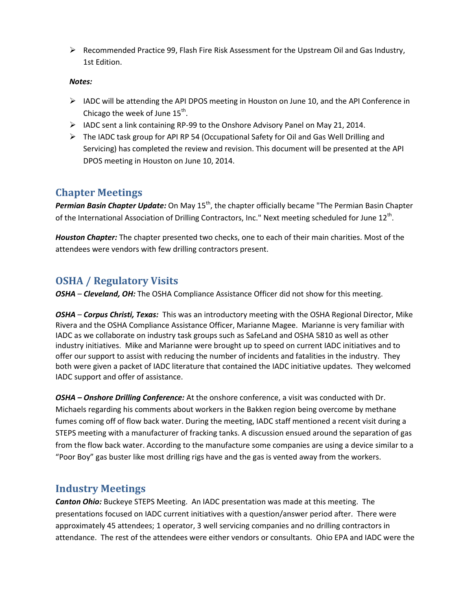$\triangleright$  Recommended Practice 99, Flash Fire Risk Assessment for the Upstream Oil and Gas Industry, 1st Edition.

#### *Notes:*

- $\triangleright$  IADC will be attending the API DPOS meeting in Houston on June 10, and the API Conference in Chicago the week of June  $15^{\text{th}}$ .
- $\triangleright$  IADC sent a link containing RP-99 to the Onshore Advisory Panel on May 21, 2014.
- $\triangleright$  The IADC task group for API RP 54 (Occupational Safety for Oil and Gas Well Drilling and Servicing) has completed the review and revision. This document will be presented at the API DPOS meeting in Houston on June 10, 2014.

## **Chapter Meetings**

Permian Basin Chapter Update: On May 15<sup>th</sup>, the chapter officially became "The Permian Basin Chapter of the International Association of Drilling Contractors, Inc." Next meeting scheduled for June 12<sup>th</sup>.

*Houston Chapter:* The chapter presented two checks, one to each of their main charities. Most of the attendees were vendors with few drilling contractors present.

# **OSHA / Regulatory Visits**

*OSHA* – *Cleveland, OH:* The OSHA Compliance Assistance Officer did not show for this meeting.

*OSHA* – *Corpus Christi, Texas:* This was an introductory meeting with the OSHA Regional Director, Mike Rivera and the OSHA Compliance Assistance Officer, Marianne Magee. Marianne is very familiar with IADC as we collaborate on industry task groups such as SafeLand and OSHA 5810 as well as other industry initiatives. Mike and Marianne were brought up to speed on current IADC initiatives and to offer our support to assist with reducing the number of incidents and fatalities in the industry. They both were given a packet of IADC literature that contained the IADC initiative updates. They welcomed IADC support and offer of assistance.

*OSHA – Onshore Drilling Conference:* At the onshore conference, a visit was conducted with Dr. Michaels regarding his comments about workers in the Bakken region being overcome by methane fumes coming off of flow back water. During the meeting, IADC staff mentioned a recent visit during a STEPS meeting with a manufacturer of fracking tanks. A discussion ensued around the separation of gas from the flow back water. According to the manufacture some companies are using a device similar to a "Poor Boy" gas buster like most drilling rigs have and the gas is vented away from the workers.

## **Industry Meetings**

*Canton Ohio:* Buckeye STEPS Meeting. An IADC presentation was made at this meeting. The presentations focused on IADC current initiatives with a question/answer period after. There were approximately 45 attendees; 1 operator, 3 well servicing companies and no drilling contractors in attendance. The rest of the attendees were either vendors or consultants. Ohio EPA and IADC were the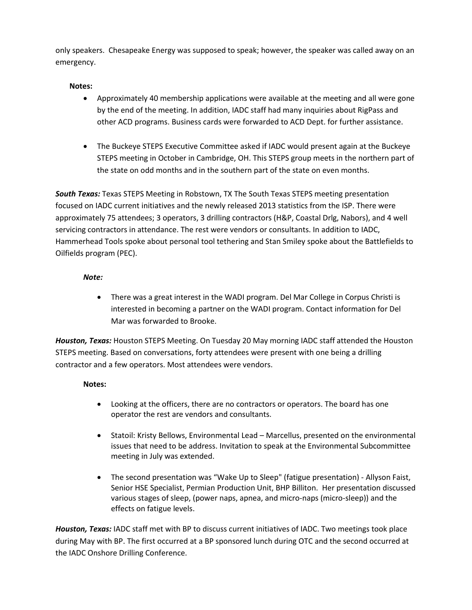only speakers. Chesapeake Energy was supposed to speak; however, the speaker was called away on an emergency.

#### **Notes:**

- Approximately 40 membership applications were available at the meeting and all were gone by the end of the meeting. In addition, IADC staff had many inquiries about RigPass and other ACD programs. Business cards were forwarded to ACD Dept. for further assistance.
- The Buckeye STEPS Executive Committee asked if IADC would present again at the Buckeye STEPS meeting in October in Cambridge, OH. This STEPS group meets in the northern part of the state on odd months and in the southern part of the state on even months.

**South Texas:** Texas STEPS Meeting in Robstown, TX The South Texas STEPS meeting presentation focused on IADC current initiatives and the newly released 2013 statistics from the ISP. There were approximately 75 attendees; 3 operators, 3 drilling contractors (H&P, Coastal Drlg, Nabors), and 4 well servicing contractors in attendance. The rest were vendors or consultants. In addition to IADC, Hammerhead Tools spoke about personal tool tethering and Stan Smiley spoke about the Battlefields to Oilfields program (PEC).

#### *Note:*

 There was a great interest in the WADI program. Del Mar College in Corpus Christi is interested in becoming a partner on the WADI program. Contact information for Del Mar was forwarded to Brooke.

*Houston, Texas:* Houston STEPS Meeting. On Tuesday 20 May morning IADC staff attended the Houston STEPS meeting. Based on conversations, forty attendees were present with one being a drilling contractor and a few operators. Most attendees were vendors.

#### **Notes:**

- Looking at the officers, there are no contractors or operators. The board has one operator the rest are vendors and consultants.
- Statoil: Kristy Bellows, Environmental Lead Marcellus, presented on the environmental issues that need to be address. Invitation to speak at the Environmental Subcommittee meeting in July was extended.
- The second presentation was "Wake Up to Sleep" (fatigue presentation) Allyson Faist, Senior HSE Specialist, Permian Production Unit, BHP Billiton. Her presentation discussed various stages of sleep, (power naps, apnea, and micro-naps (micro-sleep)) and the effects on fatigue levels.

*Houston, Texas:* IADC staff met with BP to discuss current initiatives of IADC. Two meetings took place during May with BP. The first occurred at a BP sponsored lunch during OTC and the second occurred at the IADC Onshore Drilling Conference.